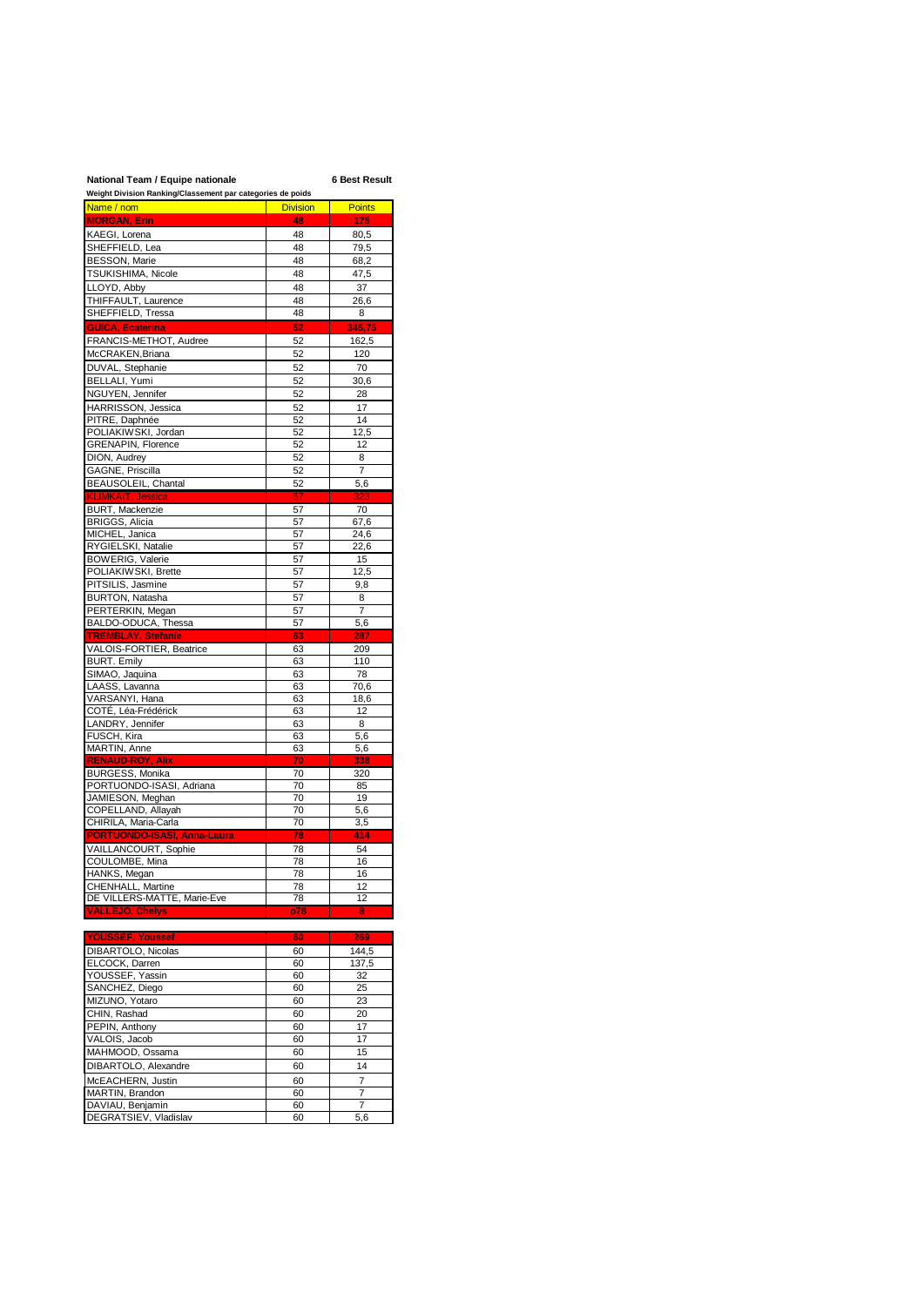## **National Team / Equipe nationale 6 Best Result**

| Weight Division Ranking/Classement par categories de poids |                 |               |
|------------------------------------------------------------|-----------------|---------------|
| Name / nom                                                 | <b>Division</b> | <b>Points</b> |
| <b>MORGAN, Erin</b>                                        | 48              | 175           |
| KAEGI, Lorena                                              | 48              |               |
|                                                            |                 | 80,5          |
| SHEFFIELD, Lea                                             | 48              | 79,5          |
| <b>BESSON, Marie</b>                                       | 48              | 68,2          |
| TSUKISHIMA, Nicole                                         | 48              | 47,5          |
| LLOYD, Abby                                                | 48              | 37            |
| THIFFAULT, Laurence                                        | 48              | 26,6          |
| SHEFFIELD, Tressa                                          | 48              | 8             |
|                                                            |                 |               |
| <b>GUICA, Ecaterina</b>                                    | 52              | 345,75        |
| FRANCIS-METHOT, Audree                                     | 52              | 162,5         |
| McCRAKEN, Briana                                           | 52              | 120           |
| DUVAL, Stephanie                                           | 52              | 70            |
| BELLALI, Yumi                                              | 52              | 30,6          |
| NGUYEN, Jennifer                                           | 52              | 28            |
|                                                            | 52              | 17            |
| HARRISSON, Jessica                                         |                 |               |
| PITRE, Daphnée                                             | 52              | 14            |
| POLIAKIWSKI, Jordan                                        | 52              | 12,5          |
| GRENAPIN, Florence                                         | 52              | 12            |
| DION, Audrey                                               | 52              | 8             |
| GAGNE, Priscilla                                           | 52              | 7             |
| BEAUSOLEIL, Chantal                                        | 52              | 5,6           |
| <b>KLIMKAIT, Jessica</b>                                   | 57              | 323           |
| BURT, Mackenzie                                            | 57              | 70            |
| BRIGGS, Alicia                                             | 57              | 67,6          |
| MICHEL, Janica                                             | 57              | 24,6          |
| RYGIELSKI, Natalie                                         | 57              | 22,6          |
| <b>BOWERIG, Valerie</b>                                    | 57              | 15            |
| POLIAKIWSKI, Brette                                        | 57              | 12,5          |
| PITSILIS, Jasmine                                          | 57              | 9,8           |
|                                                            |                 |               |
| <b>BURTON, Natasha</b>                                     | 57              | 8             |
| PERTERKIN, Megan                                           | 57              | 7             |
| BALDO-ODUCA, Thessa                                        | 57              | 5.6           |
| <b>TREMBLAY, Stefanie</b>                                  | 63              | 287           |
| VALOIS-FORTIER, Beatrice                                   | 63              | 209           |
| <b>BURT. Emily</b>                                         | 63              | 110           |
| SIMAO, Jaquina                                             | 63              | 78            |
| LAASS, Lavanna                                             | 63              | 70,6          |
| VARSANYI, Hana                                             | 63              | 18,6          |
| COTÉ, Léa-Frédérick                                        | 63              | 12            |
| LANDRY, Jennifer                                           | 63              | 8             |
| FUSCH, Kira                                                | 63              | 5,6           |
| MARTIN, Anne                                               | 63              | 5,6           |
| <b>RENAUD-ROY, Alix</b>                                    | 70              | 338           |
| <b>BURGESS, Monika</b>                                     | 70              | 320           |
| PORTUONDO-ISASI, Adriana                                   | 70              | 85            |
| JAMIESON, Meghan                                           | 70              | 19            |
| COPELLAND, Allayah                                         | 70              | 5,6           |
| CHIRILA, Maria-Carla                                       | 70              | 3,5           |
| <b>PORTUONDO-ISASI, Anna-Laura</b>                         | 78              | 414           |
|                                                            |                 | 54            |
| VAILLANCOURT, Sophie                                       | 78              |               |
| COULOMBE, Mina                                             | 78              | 16            |
| HANKS, Megan                                               | 78              | 16            |
| CHENHALL Martine                                           | 78              | 12            |
| DE VILLERS-MATTE, Marie-Eve                                | 78              | 12            |
| <b>VALLEJO, Chelys</b>                                     | o78             | 8             |
|                                                            |                 |               |
| <b>YOUSSEF, Youssef</b>                                    | 60              | 269           |
| DIBARTOLO, Nicolas                                         | 60              | 144,5         |
| ELCOCK, Darren                                             | 60              | 137,5         |
| YOUSSEF, Yassin                                            | 60              | 32            |
| SANCHEZ, Diego                                             | 60              | 25            |
| MIZUNO, Yotaro                                             | 60              | 23            |
| CHIN, Rashad                                               | 60              | 20            |
| PEPIN, Anthony                                             | 60              | 17            |
| VALOIS, Jacob                                              | 60              | 17            |
| MAHMOOD, Ossama                                            | 60              | 15            |
| DIBARTOLO, Alexandre                                       | 60              | 14            |
|                                                            |                 |               |
| McEACHERN, Justin                                          | 60              | 7             |
| MARTIN, Brandon                                            | 60              | 7             |

DAVIAU, Benjamin 60 7 DEGRATSIEV, Vladislav 60 5,6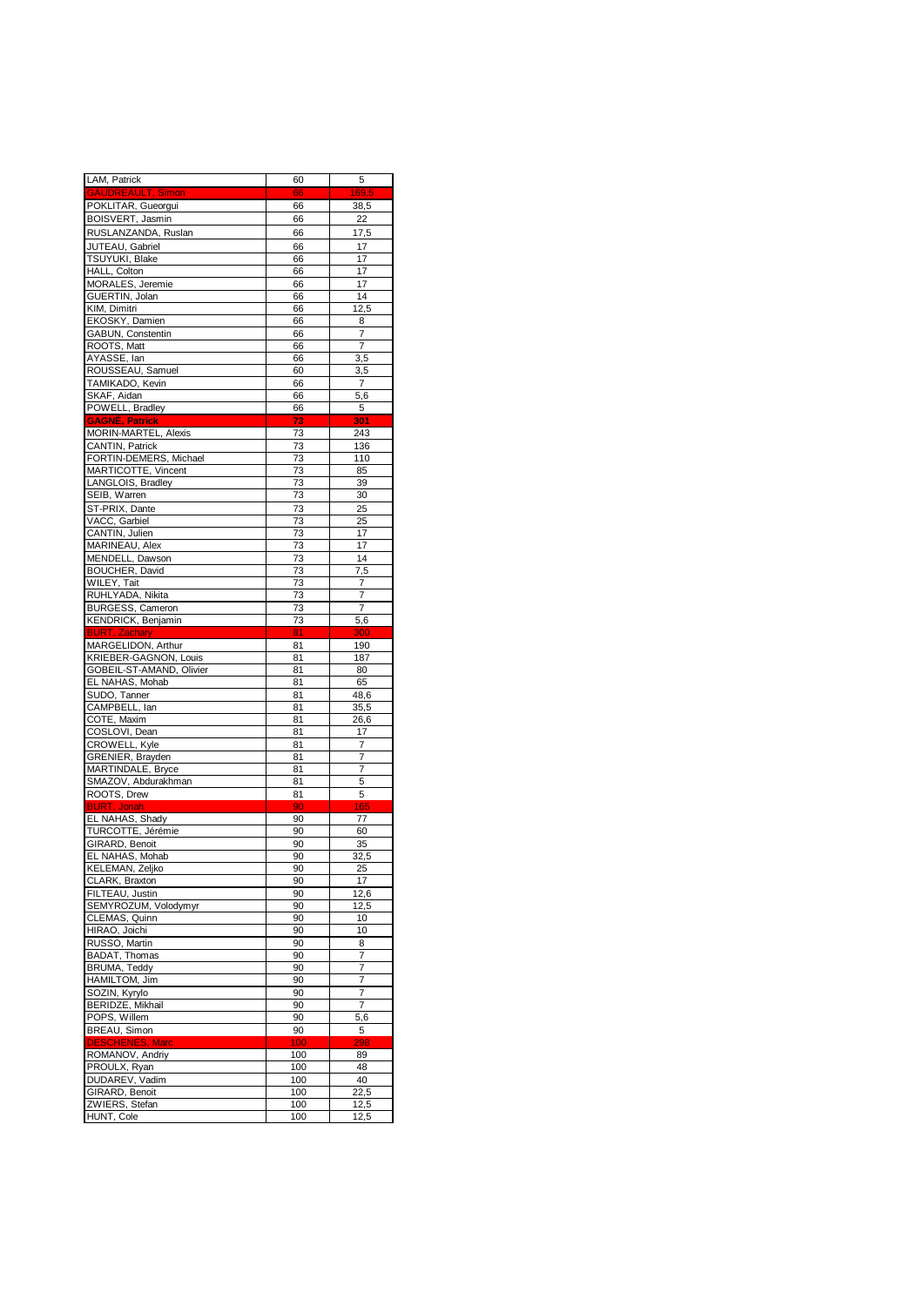| LAM, Patrick                                  | 60       | 5                     |
|-----------------------------------------------|----------|-----------------------|
| <b>GAUDREAULT, Simon</b>                      | 66       | 169,5                 |
| POKLITAR, Gueorgui                            | 66       | 38,5                  |
| BOISVERT, Jasmin                              | 66       | 22                    |
| RUSLANZANDA, Ruslan                           | 66       | 17,5                  |
| JUTEAU, Gabriel<br>TSUYUKI, Blake             | 66<br>66 | 17<br>17              |
| HALL, Colton                                  | 66       | 17                    |
| MORALES, Jeremie                              | 66       | 17                    |
| GUERTIN, Jolan                                | 66       | 14                    |
| KIM, Dimitri                                  | 66       | 12,5                  |
| EKOSKY, Damien                                | 66       | 8                     |
| GABUN, Constentin                             | 66       | 7                     |
| ROOTS, Matt<br>AYASSE, lan                    | 66       | $\overline{7}$<br>3,5 |
| ROUSSEAU, Samuel                              | 66<br>60 | 3,5                   |
| TAMIKADO, Kevin                               | 66       | $\overline{7}$        |
| SKAF, Aidan                                   | 66       | 5,6                   |
| POWELL, Bradley                               | 66       | 5                     |
| <b>GAGNÉ, Patrick</b>                         | 73       | 301                   |
| MORIN-MARTEL, Alexis                          | 73       | 243                   |
| <b>CANTIN, Patrick</b>                        | 73       | 136                   |
| FORTIN-DEMERS, Michael<br>MARTICOTTE, Vincent | 73<br>73 | 110<br>85             |
| LANGLOIS, Bradley                             | 73       | 39                    |
| SEIB, Warren                                  | 73       | 30                    |
| ST-PRIX, Dante                                | 73       | 25                    |
| VACC, Garbiel                                 | 73       | 25                    |
| CANTIN, Julien                                | 73       | 17                    |
| MARINEAU, Alex                                | 73       | 17                    |
| MENDELL, Dawson                               | 73       | 14                    |
| <b>BOUCHER, David</b>                         | 73<br>73 | 7,5                   |
| WILEY, Tait<br>RUHLYADA, Nikita               | 73       | 7<br>7                |
| <b>BURGESS, Cameron</b>                       | 73       | $\overline{7}$        |
| KENDRICK, Benjamin                            | 73       | $5,\overline{6}$      |
| <b>BURT, Zachary</b>                          | 81       | 300                   |
| MARGELIDON, Arthur                            | 81       | 190                   |
| KRIEBER-GAGNON, Louis                         | 81       | 187                   |
| GOBEIL-ST-AMAND, Olivier                      | 81       | 80                    |
| EL NAHAS, Mohab<br>SUDO, Tanner               | 81<br>81 | 65<br>48,6            |
| CAMPBELL, Ian                                 | 81       | 35,5                  |
| COTE, Maxim                                   | 81       | 26,6                  |
| COSLOVI, Dean                                 | 81       | 17                    |
| <b>CROWELL, Kyle</b>                          | 81       | 7                     |
| GRENIER, Brayden                              | 81       | 7                     |
| MARTINDALE, Bryce                             | 81       | 7                     |
| SMAZOV, Abdurakhman                           | 81       | 5                     |
| ROOTS, Drew<br><b>BURT, Jonah</b>             | 81<br>90 | 5<br>165              |
| EL NAHAS, Shady                               | 90       | 77                    |
| TURCOTTE, Jérémie                             | 90       | 60                    |
| GIRARD, Benoit                                | 90       | 35                    |
| EL NAHAS, Mohab                               | 90       | 32,5                  |
| KELEMAN, Zeljko                               | 90       | 25                    |
| CLARK, Braxton                                | 90       | 17                    |
| FILTEAU, Justin<br>SEMYROZUM, Volodymyr       | 90<br>90 | 12,6<br>12,5          |
| CLEMAS, Quinn                                 | 90       | 10                    |
| HIRAO, Joichi                                 | 90       | 10                    |
| RUSSO, Martin                                 | 90       | 8                     |
| BADAT, Thomas                                 | 90       | 7                     |
| BRUMA, Teddy                                  | 90       | $\overline{7}$        |
| HAMILTOM, Jim                                 | 90       | 7                     |
| SOZIN, Kyrylo                                 | 90       | $\overline{7}$        |
| BERIDZE, Mikhail                              | 90       | $\overline{7}$        |
| POPS, Willem<br>BREAU, Simon                  | 90<br>90 | 5,6<br>5              |
| <b>DESCHENES, Marc</b>                        | 100      | 298                   |
| ROMANOV, Andriy                               | 100      | 89                    |
| PROULX, Ryan                                  | 100      | 48                    |
| DUDAREV, Vadim                                | 100      | 40                    |
| GIRARD, Benoit                                | 100      | 22,5                  |
| ZWIERS, Stefan                                | 100      | 12,5                  |
| HUNT, Cole                                    | 100      | 12,5                  |